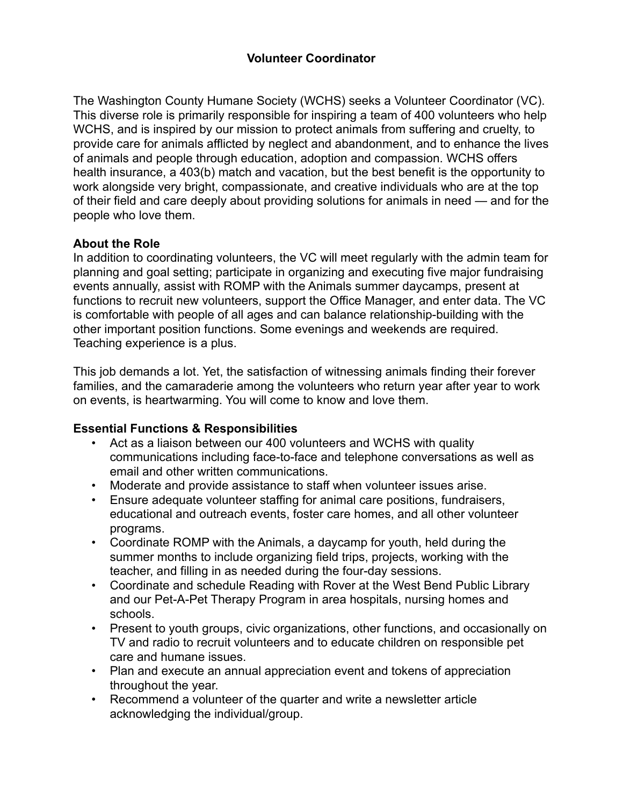# **Volunteer Coordinator**

The Washington County Humane Society (WCHS) seeks a Volunteer Coordinator (VC). This diverse role is primarily responsible for inspiring a team of 400 volunteers who help WCHS, and is inspired by our mission to protect animals from suffering and cruelty, to provide care for animals afflicted by neglect and abandonment, and to enhance the lives of animals and people through education, adoption and compassion. WCHS offers health insurance, a 403(b) match and vacation, but the best benefit is the opportunity to work alongside very bright, compassionate, and creative individuals who are at the top of their field and care deeply about providing solutions for animals in need — and for the people who love them.

## **About the Role**

In addition to coordinating volunteers, the VC will meet regularly with the admin team for planning and goal setting; participate in organizing and executing five major fundraising events annually, assist with ROMP with the Animals summer daycamps, present at functions to recruit new volunteers, support the Office Manager, and enter data. The VC is comfortable with people of all ages and can balance relationship-building with the other important position functions. Some evenings and weekends are required. Teaching experience is a plus.

This job demands a lot. Yet, the satisfaction of witnessing animals finding their forever families, and the camaraderie among the volunteers who return year after year to work on events, is heartwarming. You will come to know and love them.

## **Essential Functions & Responsibilities**

- Act as a liaison between our 400 volunteers and WCHS with quality communications including face-to-face and telephone conversations as well as email and other written communications.
- Moderate and provide assistance to staff when volunteer issues arise.
- Ensure adequate volunteer staffing for animal care positions, fundraisers, educational and outreach events, foster care homes, and all other volunteer programs.
- Coordinate ROMP with the Animals, a daycamp for youth, held during the summer months to include organizing field trips, projects, working with the teacher, and filling in as needed during the four-day sessions.
- Coordinate and schedule Reading with Rover at the West Bend Public Library and our Pet-A-Pet Therapy Program in area hospitals, nursing homes and schools.
- Present to youth groups, civic organizations, other functions, and occasionally on TV and radio to recruit volunteers and to educate children on responsible pet care and humane issues.
- Plan and execute an annual appreciation event and tokens of appreciation throughout the year.
- Recommend a volunteer of the quarter and write a newsletter article acknowledging the individual/group.